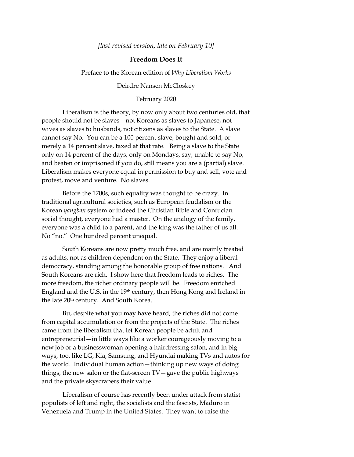*[last revised version, late on February 10]*

## **Freedom Does It**

Preface to the Korean edition of *Why Liberalism Works*

Deirdre Nansen McCloskey

February 2020

Liberalism is the theory, by now only about two centuries old, that people should not be slaves—not Koreans as slaves to Japanese, not wives as slaves to husbands, not citizens as slaves to the State. A slave cannot say No. You can be a 100 percent slave, bought and sold, or merely a 14 percent slave, taxed at that rate. Being a slave to the State only on 14 percent of the days, only on Mondays, say, unable to say No, and beaten or imprisoned if you do, still means you are a (partial) slave. Liberalism makes everyone equal in permission to buy and sell, vote and protest, move and venture. No slaves.

Before the 1700s, such equality was thought to be crazy. In traditional agricultural societies, such as European feudalism or the Korean *yangban* system or indeed the Christian Bible and Confucian social thought, everyone had a master. On the analogy of the family, everyone was a child to a parent, and the king was the father of us all. No "no." One hundred percent unequal.

South Koreans are now pretty much free, and are mainly treated as adults, not as children dependent on the State. They enjoy a liberal democracy, standing among the honorable group of free nations. And South Koreans are rich. I show here that freedom leads to riches. The more freedom, the richer ordinary people will be. Freedom enriched England and the U.S. in the 19<sup>th</sup> century, then Hong Kong and Ireland in the late 20th century. And South Korea.

Bu, despite what you may have heard, the riches did not come from capital accumulation or from the projects of the State. The riches came from the liberalism that let Korean people be adult and entrepreneurial—in little ways like a worker courageously moving to a new job or a businesswoman opening a hairdressing salon, and in big ways, too, like LG, Kia, Samsung, and Hyundai making TVs and autos for the world. Individual human action—thinking up new ways of doing things, the new salon or the flat-screen TV—gave the public highways and the private skyscrapers their value.

Liberalism of course has recently been under attack from statist populists of left and right, the socialists and the fascists, Maduro in Venezuela and Trump in the United States. They want to raise the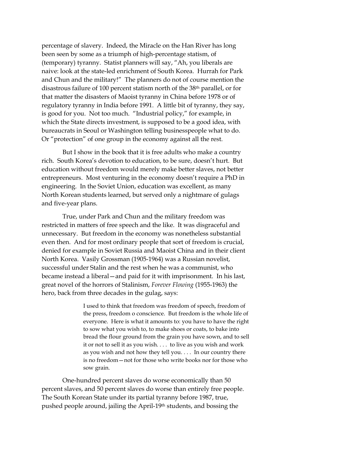percentage of slavery. Indeed, the Miracle on the Han River has long been seen by some as a triumph of high-percentage statism, of (temporary) tyranny. Statist planners will say, "Ah, you liberals are naive: look at the state-led enrichment of South Korea. Hurrah for Park and Chun and the military!" The planners do not of course mention the disastrous failure of 100 percent statism north of the 38th parallel, or for that matter the disasters of Maoist tyranny in China before 1978 or of regulatory tyranny in India before 1991. A little bit of tyranny, they say, is good for you. Not too much. "Industrial policy," for example, in which the State directs investment, is supposed to be a good idea, with bureaucrats in Seoul or Washington telling businesspeople what to do. Or "protection" of one group in the economy against all the rest.

But I show in the book that it is free adults who make a country rich. South Korea's devotion to education, to be sure, doesn't hurt. But education without freedom would merely make better slaves, not better entrepreneurs. Most venturing in the economy doesn't require a PhD in engineering. In the Soviet Union, education was excellent, as many North Korean students learned, but served only a nightmare of gulags and five-year plans.

True, under Park and Chun and the military freedom was restricted in matters of free speech and the like. It was disgraceful and unnecessary. But freedom in the economy was nonetheless substantial even then. And for most ordinary people that sort of freedom is crucial, denied for example in Soviet Russia and Maoist China and in their client North Korea. Vasily Grossman (1905-1964) was a Russian novelist, successful under Stalin and the rest when he was a communist, who became instead a liberal—and paid for it with imprisonment. In his last, great novel of the horrors of Stalinism, *Forever Flowing* (1955-1963) the hero, back from three decades in the gulag, says:

> I used to think that freedom was freedom of speech, freedom of the press, freedom o conscience. But freedom is the whole life of everyone. Here is what it amounts to: you have to have the right to sow what you wish to, to make shoes or coats, to bake into bread the flour ground from the grain you have sown, and to sell it or not to sell it as you wish. . . . to live as you wish and work as you wish and not how they tell you. . . . In our country there is no freedom—not for those who write books nor for those who sow grain.

One-hundred percent slaves do worse economically than 50 percent slaves, and 50 percent slaves do worse than entirely free people. The South Korean State under its partial tyranny before 1987, true, pushed people around, jailing the April-19th students, and bossing the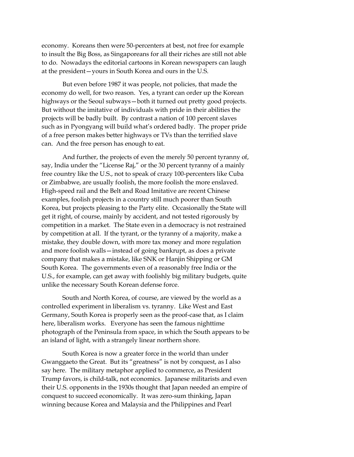economy. Koreans then were 50-percenters at best, not free for example to insult the Big Boss, as Singaporeans for all their riches are still not able to do. Nowadays the editorial cartoons in Korean newspapers can laugh at the president—yours in South Korea and ours in the U.S.

But even before 1987 it was people, not policies, that made the economy do well, for two reason. Yes, a tyrant can order up the Korean highways or the Seoul subways—both it turned out pretty good projects. But without the imitative of individuals with pride in their abilities the projects will be badly built. By contrast a nation of 100 percent slaves such as in Pyongyang will build what's ordered badly. The proper pride of a free person makes better highways or TVs than the terrified slave can. And the free person has enough to eat.

And further, the projects of even the merely 50 percent tyranny of, say, India under the "License Raj," or the 30 percent tyranny of a mainly free country like the U.S., not to speak of crazy 100-percenters like Cuba or Zimbabwe, are usually foolish, the more foolish the more enslaved. High-speed rail and the Belt and Road Imitative are recent Chinese examples, foolish projects in a country still much poorer than South Korea, but projects pleasing to the Party elite. Occasionally the State will get it right, of course, mainly by accident, and not tested rigorously by competition in a market. The State even in a democracy is not restrained by competition at all. If the tyrant, or the tyranny of a majority, make a mistake, they double down, with more tax money and more regulation and more foolish walls—instead of going bankrupt, as does a private company that makes a mistake, like SNK or Hanjin Shipping or GM South Korea. The governments even of a reasonably free India or the U.S., for example, can get away with foolishly big military budgets, quite unlike the necessary South Korean defense force.

South and North Korea, of course, are viewed by the world as a controlled experiment in liberalism vs. tyranny. Like West and East Germany, South Korea is properly seen as the proof-case that, as I claim here, liberalism works. Everyone has seen the famous nighttime photograph of the Peninsula from space, in which the South appears to be an island of light, with a strangely linear northern shore.

South Korea is now a greater force in the world than under Gwanggaeto the Great. But its "greatness" is not by conquest, as I also say here. The military metaphor applied to commerce, as President Trump favors, is child-talk, not economics. Japanese militarists and even their U.S. opponents in the 1930s thought that Japan needed an empire of conquest to succeed economically. It was zero-sum thinking, Japan winning because Korea and Malaysia and the Philippines and Pearl